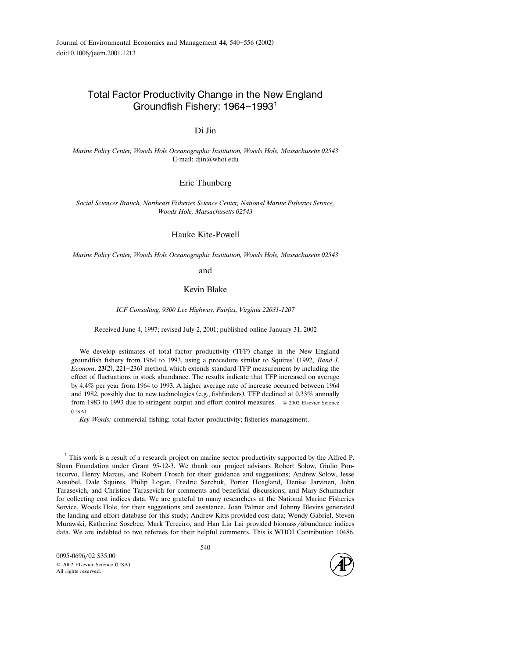# Total Factor Productivity Change in the New England Groundfish Fishery:  $1964-1993$ <sup>1</sup>

# Di Jin

*Marine Policy Center, Woods Hole Oceanographic Institution, Woods Hole, Massachusetts 02543* E-mail: djin@whoi.edu

#### Eric Thunberg

*Social Sciences Branch, Northeast Fisheries Science Center, National Marine Fisheries Ser*-*ice, Woods Hole, Massachusetts 02543*

#### Hauke Kite-Powell

*Marine Policy Center, Woods Hole Oceanographic Institution, Woods Hole, Massachusetts 02543*

and

## Kevin Blake

*ICF Consulting, 9300 Lee Highway, Fairfax, Virginia 22031-1207*

Received June 4, 1997; revised July 2, 2001; published online January 31, 2002

We develop estimates of total factor productivity (TFP) change in the New England groundfish fishery from 1964 to 1993, using a procedure similar to Squires' (1992, Rand J. *Econom.* **23** $(2)$ ,  $221-236$  method, which extends standard TFP measurement by including the effect of fluctuations in stock abundance. The results indicate that TFP increased on average by 4.4% per year from 1964 to 1993. A higher average rate of increase occurred between 1964 and 1982, possibly due to new technologies (e.g., fishfinders). TFP declined at  $0.33\%$  annually from 1983 to 1993 due to stringent output and effort control measures.  $\circ$  2002 Elsevier Science  $(USA)$ 

*Key Words:* commercial fishing; total factor productivity; fisheries management.

 $1$ <sup>1</sup> This work is a result of a research project on marine sector productivity supported by the Alfred P. Sloan Foundation under Grant 95-12-3. We thank our project advisors Robert Solow, Giulio Pontecorvo, Henry Marcus, and Robert Frosch for their guidance and suggestions; Andrew Solow, Jesse Ausubel, Dale Squires, Philip Logan, Fredric Serchuk, Porter Hoagland, Denise Jarvinen, John Tarasevich, and Christine Tarasevich for comments and beneficial discussions; and Mary Schumacher for collecting cost indices data. We are grateful to many researchers at the National Marine Fisheries Service, Woods Hole, for their suggestions and assistance. Joan Palmer and Johnny Blevins generated the landing and effort database for this study; Andrew Kitts provided cost data; Wendy Gabriel, Steven Murawski, Katherine Sosebee, Mark Terceiro, and Han Lin Lai provided biomass/abundance indices data. We are indebted to two referees for their helpful comments. This is WHOI Contribution 10486.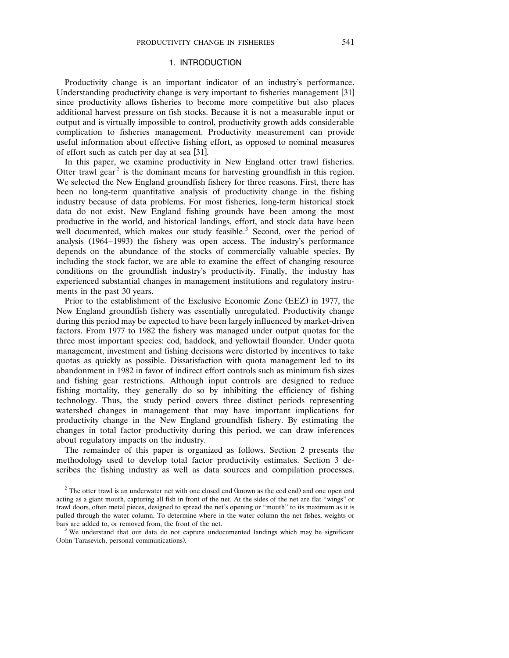## 1. INTRODUCTION

Productivity change is an important indicator of an industry's performance. Understanding productivity change is very important to fisheries management [31] since productivity allows fisheries to become more competitive but also places additional harvest pressure on fish stocks. Because it is not a measurable input or output and is virtually impossible to control, productivity growth adds considerable complication to fisheries management. Productivity measurement can provide useful information about effective fishing effort, as opposed to nominal measures of effort such as catch per day at sea [31].

In this paper, we examine productivity in New England otter trawl fisheries. Otter trawl gear<sup>2</sup> is the dominant means for harvesting groundfish in this region. We selected the New England groundfish fishery for three reasons. First, there has been no long-term quantitative analysis of productivity change in the fishing industry because of data problems. For most fisheries, long-term historical stock data do not exist. New England fishing grounds have been among the most productive in the world, and historical landings, effort, and stock data have been well documented, which makes our study feasible.<sup>3</sup> Second, over the period of analysis  $(1964 - 1993)$  the fishery was open access. The industry's performance depends on the abundance of the stocks of commercially valuable species. By including the stock factor, we are able to examine the effect of changing resource conditions on the groundfish industry's productivity. Finally, the industry has experienced substantial changes in management institutions and regulatory instruments in the past 30 years.

Prior to the establishment of the Exclusive Economic Zone (EEZ) in 1977, the New England groundfish fishery was essentially unregulated. Productivity change during this period may be expected to have been largely influenced by market-driven factors. From 1977 to 1982 the fishery was managed under output quotas for the three most important species: cod, haddock, and yellowtail flounder. Under quota management, investment and fishing decisions were distorted by incentives to take quotas as quickly as possible. Dissatisfaction with quota management led to its abandonment in 1982 in favor of indirect effort controls such as minimum fish sizes and fishing gear restrictions. Although input controls are designed to reduce fishing mortality, they generally do so by inhibiting the efficiency of fishing technology. Thus, the study period covers three distinct periods representing watershed changes in management that may have important implications for productivity change in the New England groundfish fishery. By estimating the changes in total factor productivity during this period, we can draw inferences about regulatory impacts on the industry.

The remainder of this paper is organized as follows. Section 2 presents the methodology used to develop total factor productivity estimates. Section 3 describes the fishing industry as well as data sources and compilation processes.

<sup>&</sup>lt;sup>2</sup> The otter trawl is an underwater net with one closed end (known as the cod end) and one open end acting as a giant mouth, capturing all fish in front of the net. At the sides of the net are flat ''wings'' or trawl doors, often metal pieces, designed to spread the net's opening or ''mouth'' to its maximum as it is pulled through the water column. To determine where in the water column the net fishes, weights or bars are added to, or removed from, the front of the net.<br><sup>3</sup> We understand that our data do not capture undocumented landings which may be significant

<sup>(</sup>John Tarasevich, personal communications).